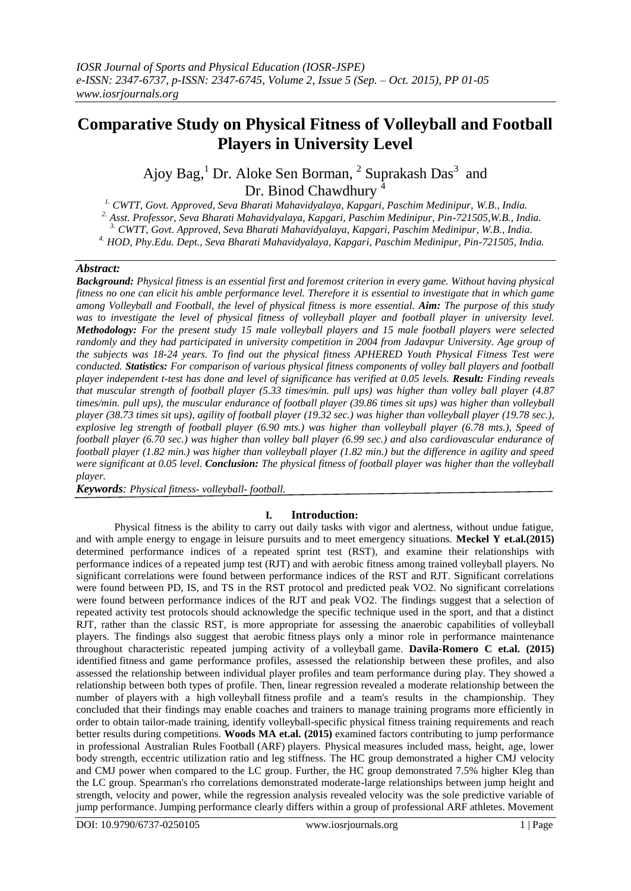# **Comparative Study on Physical Fitness of Volleyball and Football Players in University Level**

Ajoy Bag,<sup>1</sup> Dr. Aloke Sen Borman, <sup>2</sup> Suprakash Das<sup>3</sup> and Dr. Binod Chawdhury <sup>4</sup>

*1. CWTT, Govt. Approved, Seva Bharati Mahavidyalaya, Kapgari, Paschim Medinipur, W.B., India. 2. Asst. Professor, Seva Bharati Mahavidyalaya, Kapgari, Paschim Medinipur, Pin-721505,W.B., India. 3. CWTT, Govt. Approved, Seva Bharati Mahavidyalaya, Kapgari, Paschim Medinipur, W.B., India. 4. HOD, Phy.Edu. Dept., Seva Bharati Mahavidyalaya, Kapgari, Paschim Medinipur, Pin-721505, India.*

#### *Abstract:*

*Background: Physical fitness is an essential first and foremost criterion in every game. Without having physical fitness no one can elicit his amble performance level. Therefore it is essential to investigate that in which game among Volleyball and Football, the level of physical fitness is more essential. Aim: The purpose of this study was to investigate the level of physical fitness of volleyball player and football player in university level. Methodology: For the present study 15 male volleyball players and 15 male football players were selected randomly and they had participated in university competition in 2004 from Jadavpur University. Age group of the subjects was 18-24 years. To find out the physical fitness APHERED Youth Physical Fitness Test were conducted. Statistics: For comparison of various physical fitness components of volley ball players and football player independent t-test has done and level of significance has verified at 0.05 levels. Result: Finding reveals that muscular strength of football player (5.33 times/min. pull ups) was higher than volley ball player (4.87 times/min. pull ups), the muscular endurance of football player (39.86 times sit ups) was higher than volleyball player (38.73 times sit ups), agility of football player (19.32 sec.) was higher than volleyball player (19.78 sec.), explosive leg strength of football player (6.90 mts.) was higher than volleyball player (6.78 mts.), Speed of football player (6.70 sec.) was higher than volley ball player (6.99 sec.) and also cardiovascular endurance of football player (1.82 min.) was higher than volleyball player (1.82 min.) but the difference in agility and speed were significant at 0.05 level. Conclusion: The physical fitness of football player was higher than the volleyball player.*

*Keywords: Physical fitness- volleyball- football.*

### **I. Introduction:**

Physical fitness is the ability to carry out daily tasks with vigor and alertness, without undue fatigue, and with ample energy to engage in leisure pursuits and to meet emergency situations. **Meckel Y et.al.(2015)** determined performance indices of a repeated sprint test (RST), and examine their relationships with performance indices of a repeated jump test (RJT) and with aerobic fitness among trained volleyball players. No significant correlations were found between performance indices of the RST and RJT. Significant correlations were found between PD, IS, and TS in the RST protocol and predicted peak VO2. No significant correlations were found between performance indices of the RJT and peak VO2. The findings suggest that a selection of repeated activity test protocols should acknowledge the specific technique used in the sport, and that a distinct RJT, rather than the classic RST, is more appropriate for assessing the anaerobic capabilities of volleyball players. The findings also suggest that aerobic fitness plays only a minor role in performance maintenance throughout characteristic repeated jumping activity of a volleyball game. **Davila-Romero C et.al. (2015)** identified fitness and game performance profiles, assessed the relationship between these profiles, and also assessed the relationship between individual player profiles and team performance during play. They showed a relationship between both types of profile. Then, linear regression revealed a moderate relationship between the number of players with a high volleyball fitness profile and a team's results in the championship. They concluded that their findings may enable coaches and trainers to manage training programs more efficiently in order to obtain tailor-made training, identify volleyball-specific physical fitness training requirements and reach better results during competitions. **Woods MA et.al. (2015)** examined factors contributing to jump performance in professional Australian Rules Football (ARF) players. Physical measures included mass, height, age, lower body strength, eccentric utilization ratio and leg stiffness. The HC group demonstrated a higher CMJ velocity and CMJ power when compared to the LC group. Further, the HC group demonstrated 7.5% higher Kleg than the LC group. Spearman's rho correlations demonstrated moderate-large relationships between jump height and strength, velocity and power, while the regression analysis revealed velocity was the sole predictive variable of jump performance. Jumping performance clearly differs within a group of professional ARF athletes. Movement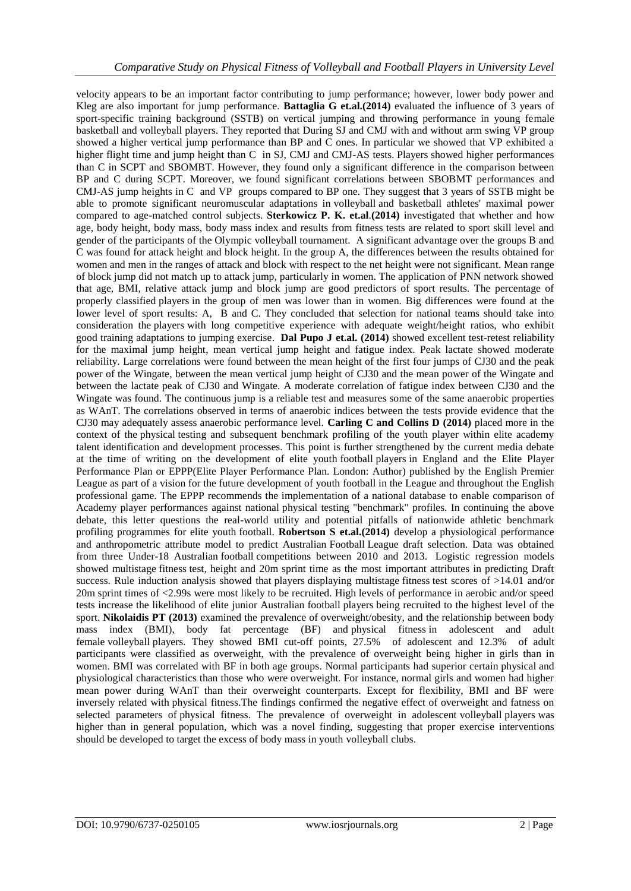velocity appears to be an important factor contributing to jump performance; however, lower body power and Kleg are also important for jump performance. **Battaglia G et.al.(2014)** evaluated the influence of 3 years of sport-specific training background (SSTB) on vertical jumping and throwing performance in young female basketball and volleyball players. They reported that During SJ and CMJ with and without arm swing VP group showed a higher vertical jump performance than BP and C ones. In particular we showed that VP exhibited a higher flight time and jump height than C in SJ, CMJ and CMJ-AS tests. Players showed higher performances than C in SCPT and SBOMBT. However, they found only a significant difference in the comparison between BP and C during SCPT. Moreover, we found significant correlations between SBOBMT performances and CMJ-AS jump heights in C and VP groups compared to BP one. They suggest that 3 years of SSTB might be able to promote significant neuromuscular adaptations in volleyball and basketball athletes' maximal power compared to age-matched control subjects. **Sterkowicz P. K. et.al**.**(2014)** investigated that whether and how age, body height, body mass, body mass index and results from fitness tests are related to sport skill level and gender of the participants of the Olympic volleyball tournament. A significant advantage over the groups B and C was found for attack height and block height. In the group A, the differences between the results obtained for women and men in the ranges of attack and block with respect to the net height were not significant. Mean range of block jump did not match up to attack jump, particularly in women. The application of PNN network showed that age, BMI, relative attack jump and block jump are good predictors of sport results. The percentage of properly classified players in the group of men was lower than in women. Big differences were found at the lower level of sport results: A, B and C. They concluded that selection for national teams should take into consideration the players with long competitive experience with adequate weight/height ratios, who exhibit good training adaptations to jumping exercise. **Dal Pupo J et.al. (2014)** showed excellent test-retest reliability for the maximal jump height, mean vertical jump height and fatigue index. Peak lactate showed moderate reliability. Large correlations were found between the mean height of the first four jumps of CJ30 and the peak power of the Wingate, between the mean vertical jump height of CJ30 and the mean power of the Wingate and between the lactate peak of CJ30 and Wingate. A moderate correlation of fatigue index between CJ30 and the Wingate was found. The continuous jump is a reliable test and measures some of the same anaerobic properties as WAnT. The correlations observed in terms of anaerobic indices between the tests provide evidence that the CJ30 may adequately assess anaerobic performance level. **Carling C and Collins D (2014)** placed more in the context of the physical testing and subsequent benchmark profiling of the youth player within elite academy talent identification and development processes. This point is further strengthened by the current media debate at the time of writing on the development of elite youth football players in England and the Elite Player Performance Plan or EPPP(Elite Player Performance Plan. London: Author) published by the English Premier League as part of a vision for the future development of youth football in the League and throughout the English professional game. The EPPP recommends the implementation of a national database to enable comparison of Academy player performances against national physical testing "benchmark" profiles. In continuing the above debate, this letter questions the real-world utility and potential pitfalls of nationwide athletic benchmark profiling programmes for elite youth football. **Robertson S et.al.(2014)** develop a physiological performance and anthropometric attribute model to predict Australian Football League draft selection. Data was obtained from three Under-18 Australian football competitions between 2010 and 2013. Logistic regression models showed multistage fitness test, height and 20m sprint time as the most important attributes in predicting Draft success. Rule induction analysis showed that players displaying multistage fitness test scores of >14.01 and/or 20m sprint times of <2.99s were most likely to be recruited. High levels of performance in aerobic and/or speed tests increase the likelihood of elite junior Australian football players being recruited to the highest level of the sport. **Nikolaidis PT (2013)** examined the prevalence of overweight/obesity, and the relationship between body mass index (BMI), body fat percentage (BF) and physical fitness in adolescent and adult female volleyball players. They showed BMI cut-off points, 27.5% of adolescent and 12.3% of adult participants were classified as overweight, with the prevalence of overweight being higher in girls than in women. BMI was correlated with BF in both age groups. Normal participants had superior certain physical and physiological characteristics than those who were overweight. For instance, normal girls and women had higher mean power during WAnT than their overweight counterparts. Except for flexibility, BMI and BF were inversely related with physical fitness.The findings confirmed the negative effect of overweight and fatness on selected parameters of physical fitness. The prevalence of overweight in adolescent volleyball players was higher than in general population, which was a novel finding, suggesting that proper exercise interventions should be developed to target the excess of body mass in youth volleyball clubs.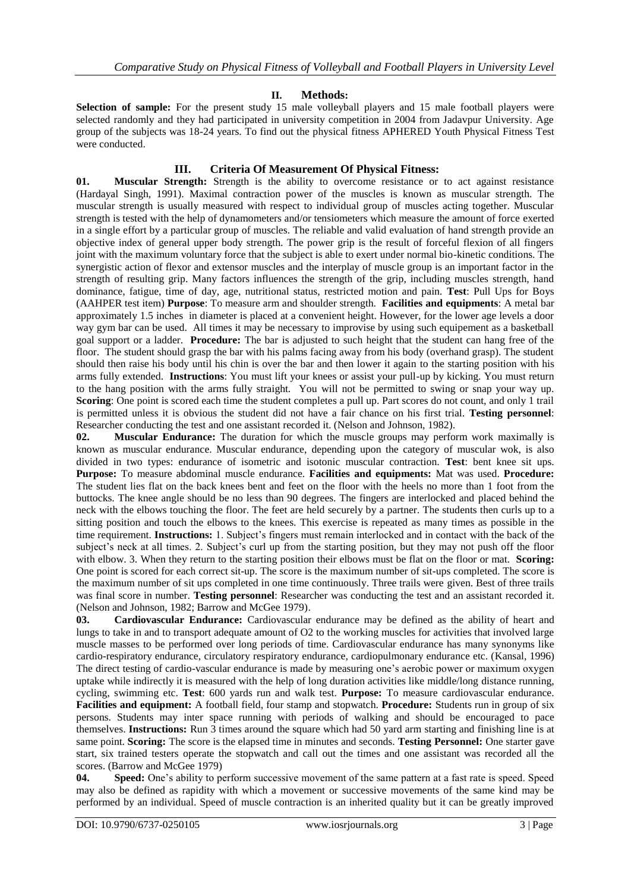## **II. Methods:**

Selection of sample: For the present study 15 male volleyball players and 15 male football players were selected randomly and they had participated in university competition in 2004 from Jadavpur University. Age group of the subjects was 18-24 years. To find out the physical fitness APHERED Youth Physical Fitness Test were conducted.

## **III. Criteria Of Measurement Of Physical Fitness:**

**01. Muscular Strength:** Strength is the ability to overcome resistance or to act against resistance (Hardayal Singh, 1991). Maximal contraction power of the muscles is known as muscular strength. The muscular strength is usually measured with respect to individual group of muscles acting together. Muscular strength is tested with the help of dynamometers and/or tensiometers which measure the amount of force exerted in a single effort by a particular group of muscles. The reliable and valid evaluation of hand strength provide an objective index of general upper body strength. The power grip is the result of forceful flexion of all fingers joint with the maximum voluntary force that the subject is able to exert under normal bio-kinetic conditions. The synergistic action of flexor and extensor muscles and the interplay of muscle group is an important factor in the strength of resulting grip. Many factors influences the strength of the grip, including muscles strength, hand dominance, fatigue, time of day, age, nutritional status, restricted motion and pain. **Test**: Pull Ups for Boys (AAHPER test item) **Purpose**: To measure arm and shoulder strength. **Facilities and equipments**: A metal bar approximately 1.5 inches in diameter is placed at a convenient height. However, for the lower age levels a door way gym bar can be used. All times it may be necessary to improvise by using such equipement as a basketball goal support or a ladder. **Procedure:** The bar is adjusted to such height that the student can hang free of the floor. The student should grasp the bar with his palms facing away from his body (overhand grasp). The student should then raise his body until his chin is over the bar and then lower it again to the starting position with his arms fully extended. **Instructions**: You must lift your knees or assist your pull-up by kicking. You must return to the hang position with the arms fully straight. You will not be permitted to swing or snap your way up. **Scoring**: One point is scored each time the student completes a pull up. Part scores do not count, and only 1 trail is permitted unless it is obvious the student did not have a fair chance on his first trial. **Testing personnel**: Researcher conducting the test and one assistant recorded it. (Nelson and Johnson, 1982).

**02. Muscular Endurance:** The duration for which the muscle groups may perform work maximally is known as muscular endurance. Muscular endurance, depending upon the category of muscular wok, is also divided in two types: endurance of isometric and isotonic muscular contraction. **Test**: bent knee sit ups. **Purpose:** To measure abdominal muscle endurance. **Facilities and equipments:** Mat was used. **Procedure:**  The student lies flat on the back knees bent and feet on the floor with the heels no more than 1 foot from the buttocks. The knee angle should be no less than 90 degrees. The fingers are interlocked and placed behind the neck with the elbows touching the floor. The feet are held securely by a partner. The students then curls up to a sitting position and touch the elbows to the knees. This exercise is repeated as many times as possible in the time requirement. **Instructions:** 1. Subject's fingers must remain interlocked and in contact with the back of the subject's neck at all times. 2. Subject's curl up from the starting position, but they may not push off the floor with elbow. 3. When they return to the starting position their elbows must be flat on the floor or mat. **Scoring:**  One point is scored for each correct sit-up. The score is the maximum number of sit-ups completed. The score is the maximum number of sit ups completed in one time continuously. Three trails were given. Best of three trails was final score in number. **Testing personnel**: Researcher was conducting the test and an assistant recorded it. (Nelson and Johnson, 1982; Barrow and McGee 1979).

**03. Cardiovascular Endurance:** Cardiovascular endurance may be defined as the ability of heart and lungs to take in and to transport adequate amount of O2 to the working muscles for activities that involved large muscle masses to be performed over long periods of time. Cardiovascular endurance has many synonyms like cardio-respiratory endurance, circulatory respiratory endurance, cardiopulmonary endurance etc. (Kansal, 1996) The direct testing of cardio-vascular endurance is made by measuring one's aerobic power or maximum oxygen uptake while indirectly it is measured with the help of long duration activities like middle/long distance running, cycling, swimming etc. **Test**: 600 yards run and walk test. **Purpose:** To measure cardiovascular endurance. **Facilities and equipment:** A football field, four stamp and stopwatch. **Procedure:** Students run in group of six persons. Students may inter space running with periods of walking and should be encouraged to pace themselves. **Instructions:** Run 3 times around the square which had 50 yard arm starting and finishing line is at same point. **Scoring:** The score is the elapsed time in minutes and seconds. **Testing Personnel:** One starter gave start, six trained testers operate the stopwatch and call out the times and one assistant was recorded all the scores. (Barrow and McGee 1979)

**04. Speed:** One's ability to perform successive movement of the same pattern at a fast rate is speed. Speed may also be defined as rapidity with which a movement or successive movements of the same kind may be performed by an individual. Speed of muscle contraction is an inherited quality but it can be greatly improved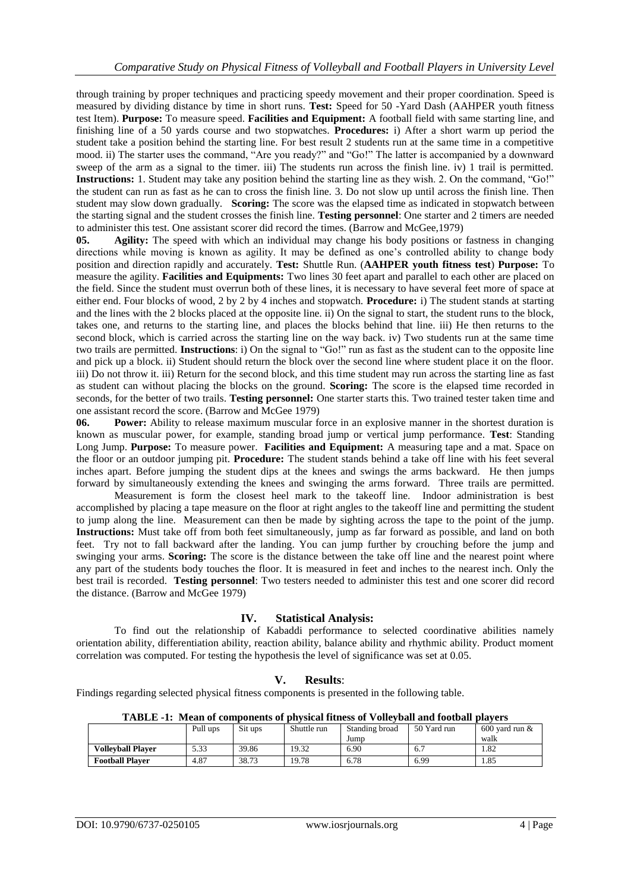through training by proper techniques and practicing speedy movement and their proper coordination. Speed is measured by dividing distance by time in short runs. **Test:** Speed for 50 -Yard Dash (AAHPER youth fitness test Item). **Purpose:** To measure speed. **Facilities and Equipment:** A football field with same starting line, and finishing line of a 50 yards course and two stopwatches. **Procedures:** i) After a short warm up period the student take a position behind the starting line. For best result 2 students run at the same time in a competitive mood. ii) The starter uses the command, "Are you ready?" and "Go!" The latter is accompanied by a downward sweep of the arm as a signal to the timer. iii) The students run across the finish line. iv) 1 trail is permitted. **Instructions:** 1. Student may take any position behind the starting line as they wish. 2. On the command, "Go!" the student can run as fast as he can to cross the finish line. 3. Do not slow up until across the finish line. Then student may slow down gradually. **Scoring:** The score was the elapsed time as indicated in stopwatch between the starting signal and the student crosses the finish line. **Testing personnel**: One starter and 2 timers are needed to administer this test. One assistant scorer did record the times. (Barrow and McGee,1979)

**05. Agility:** The speed with which an individual may change his body positions or fastness in changing directions while moving is known as agility. It may be defined as one's controlled ability to change body position and direction rapidly and accurately. **Test:** Shuttle Run. (**AAHPER youth fitness test**) **Purpose:** To measure the agility. **Facilities and Equipments:** Two lines 30 feet apart and parallel to each other are placed on the field. Since the student must overrun both of these lines, it is necessary to have several feet more of space at either end. Four blocks of wood, 2 by 2 by 4 inches and stopwatch. **Procedure:** i) The student stands at starting and the lines with the 2 blocks placed at the opposite line. ii) On the signal to start, the student runs to the block, takes one, and returns to the starting line, and places the blocks behind that line. iii) He then returns to the second block, which is carried across the starting line on the way back. iv) Two students run at the same time two trails are permitted. **Instructions**: i) On the signal to "Go!" run as fast as the student can to the opposite line and pick up a block. ii) Student should return the block over the second line where student place it on the floor. iii) Do not throw it. iii) Return for the second block, and this time student may run across the starting line as fast as student can without placing the blocks on the ground. **Scoring:** The score is the elapsed time recorded in seconds, for the better of two trails. **Testing personnel:** One starter starts this. Two trained tester taken time and one assistant record the score. (Barrow and McGee 1979)

**06. Power:** Ability to release maximum muscular force in an explosive manner in the shortest duration is known as muscular power, for example, standing broad jump or vertical jump performance. **Test**: Standing Long Jump. **Purpose:** To measure power. **Facilities and Equipment:** A measuring tape and a mat. Space on the floor or an outdoor jumping pit. **Procedure:** The student stands behind a take off line with his feet several inches apart. Before jumping the student dips at the knees and swings the arms backward. He then jumps forward by simultaneously extending the knees and swinging the arms forward. Three trails are permitted.

Measurement is form the closest heel mark to the takeoff line. Indoor administration is best accomplished by placing a tape measure on the floor at right angles to the takeoff line and permitting the student to jump along the line. Measurement can then be made by sighting across the tape to the point of the jump. **Instructions:** Must take off from both feet simultaneously, jump as far forward as possible, and land on both feet. Try not to fall backward after the landing. You can jump further by crouching before the jump and swinging your arms. **Scoring:** The score is the distance between the take off line and the nearest point where any part of the students body touches the floor. It is measured in feet and inches to the nearest inch. Only the best trail is recorded. **Testing personnel**: Two testers needed to administer this test and one scorer did record the distance. (Barrow and McGee 1979)

# **IV. Statistical Analysis:**

To find out the relationship of Kabaddi performance to selected coordinative abilities namely orientation ability, differentiation ability, reaction ability, balance ability and rhythmic ability. Product moment correlation was computed. For testing the hypothesis the level of significance was set at 0.05.

# **V. Results**:

Findings regarding selected physical fitness components is presented in the following table.

| ---------                |          |         |             |                |             |                    |
|--------------------------|----------|---------|-------------|----------------|-------------|--------------------|
|                          | Pull ups | Sit ups | Shuttle run | Standing broad | 50 Yard run | $600$ vard run $&$ |
|                          |          |         |             | Jump           |             | walk               |
| <b>Volleyball Player</b> | 5.33     | 39.86   | 19.32       | 6.90           | 6.7         | l.82               |
| <b>Football Player</b>   | 4.87     | 38.73   | 19.78       | 6.78           | 6.99        | 1.85               |

**TABLE -1: Mean of components of physical fitness of Volleyball and football players**